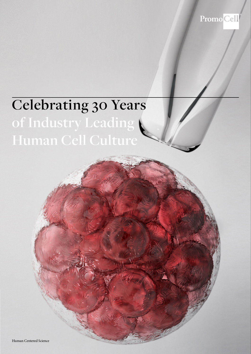PromoCell

# **Celebrating 30 Years of Industry Leading Human Cell Culture**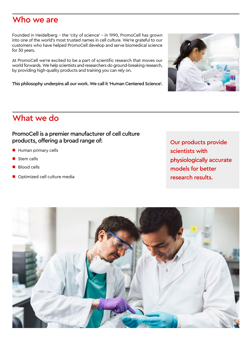### Who we are

Founded in Heidelberg – the 'city of science' – in 1990, PromoCell has grown into one of the world's most trusted names in cell culture. We're grateful to our customers who have helped PromoCell develop and serve biomedical science for 30 years.

At PromoCell we're excited to be a part of scientific research that moves our world forwards. We help scientists and researchers do ground-breaking research, by providing high-quality products and training you can rely on.

This philosophy underpins all our work. We call it 'Human Centered Science'.

### What we do

### PromoCell is a premier manufacturer of cell culture products, offering a broad range of:

- **Human primary cells**
- Stem cells
- **Blood cells**
- Optimized cell culture media

Our products provide scientists with physiologically accurate models for better research results.



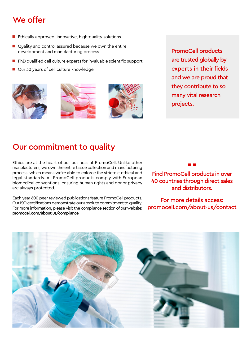## We offer

- $\blacksquare$  Ethically approved, innovative, high-quality solutions
- Quality and control assured because we own the entire development and manufacturing process
- PhD qualified cell culture experts for invaluable scientific support
- Our 30 years of cell culture knowledge







PromoCell products are trusted globally by experts in their fields and we are proud that they contribute to so many vital research projects.

## Our commitment to quality

Ethics are at the heart of our business at PromoCell. Unlike other manufacturers, we own the entire tissue collection and manufacturing process, which means we're able to enforce the strictest ethical and legal standards. All PromoCell products comply with European biomedical conventions, ensuring human rights and donor privacy are always protected.

Each year 600 peer-reviewed publications feature PromoCell products. Our ISO certifications demonstrate our absolute commitment to quality. For more information, please visit the compliance section of our website: promocell.com/about-us/compliance

Find PromoCell products in over 40 countries through direct sales and distributors.

▪ ▪

For more details access: promocell.com/about-us/contact